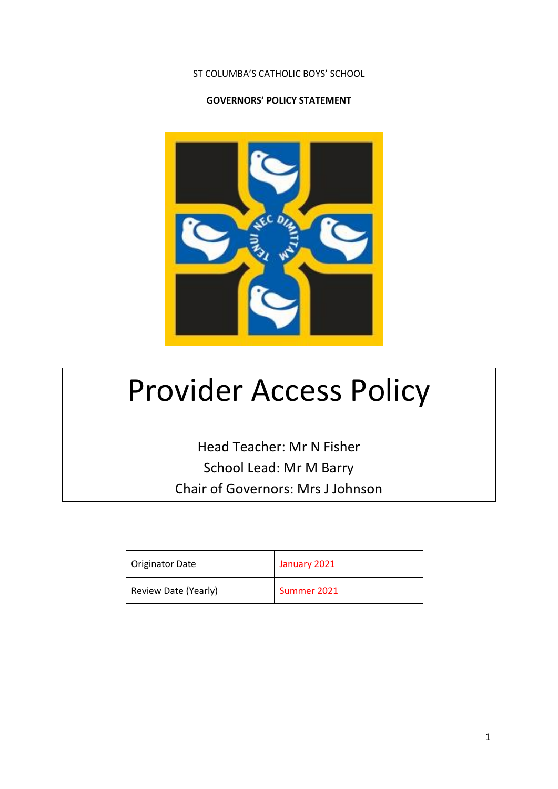#### ST COLUMBA'S CATHOLIC BOYS' SCHOOL

#### **GOVERNORS' POLICY STATEMENT**



# Provider Access Policy

Head Teacher: Mr N Fisher School Lead: Mr M Barry Chair of Governors: Mrs J Johnson

| Originator Date      | January 2021 |
|----------------------|--------------|
| Review Date (Yearly) | Summer 2021  |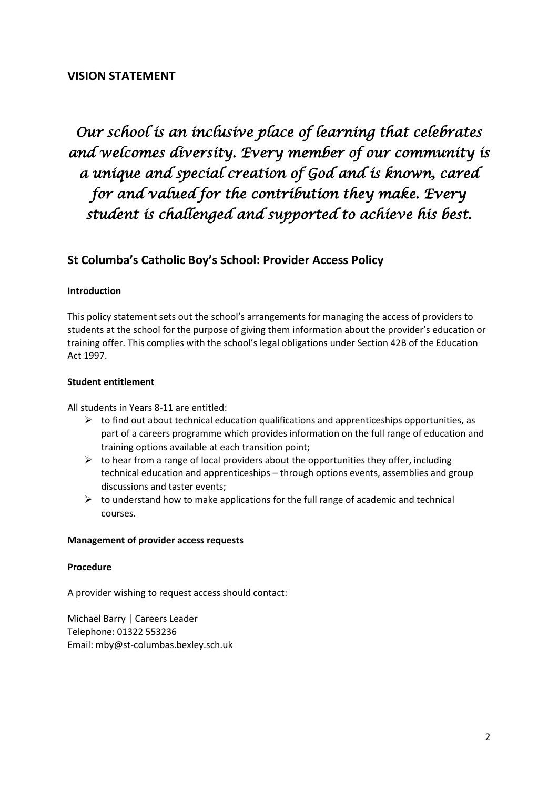### **VISION STATEMENT**

# *Our school is an inclusive place of learning that celebrates and welcomes diversity. Every member of our community is a unique and special creation of God and is known, cared for and valued for the contribution they make. Every student is challenged and supported to achieve his best.*

## **St Columba's Catholic Boy's School: Provider Access Policy**

#### **Introduction**

This policy statement sets out the school's arrangements for managing the access of providers to students at the school for the purpose of giving them information about the provider's education or training offer. This complies with the school's legal obligations under Section 42B of the Education Act 1997.

#### **Student entitlement**

All students in Years 8-11 are entitled:

- $\triangleright$  to find out about technical education qualifications and apprenticeships opportunities, as part of a careers programme which provides information on the full range of education and training options available at each transition point;
- $\triangleright$  to hear from a range of local providers about the opportunities they offer, including technical education and apprenticeships – through options events, assemblies and group discussions and taster events;
- $\triangleright$  to understand how to make applications for the full range of academic and technical courses.

#### **Management of provider access requests**

#### **Procedure**

A provider wishing to request access should contact:

Michael Barry | Careers Leader Telephone: 01322 553236 Email: [mby@st-columbas.bexley.sch.uk](mailto:mby@st-columbas.bexley.sch.uk)